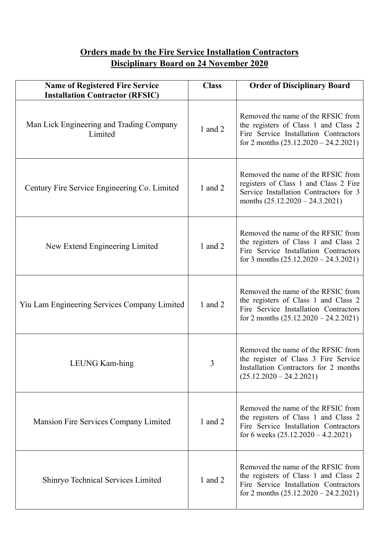## **Orders made by the Fire Service Installation Contractors Disciplinary Board on 24 November 2020**

| <b>Name of Registered Fire Service</b><br><b>Installation Contractor (RFSIC)</b> | <b>Class</b> | <b>Order of Disciplinary Board</b>                                                                                                                             |
|----------------------------------------------------------------------------------|--------------|----------------------------------------------------------------------------------------------------------------------------------------------------------------|
| Man Lick Engineering and Trading Company<br>Limited                              | 1 and 2      | Removed the name of the RFSIC from<br>the registers of Class 1 and Class 2<br>Fire Service Installation Contractors<br>for 2 months $(25.12.2020 - 24.2.2021)$ |
| Century Fire Service Engineering Co. Limited                                     | 1 and 2      | Removed the name of the RFSIC from<br>registers of Class 1 and Class 2 Fire<br>Service Installation Contractors for 3<br>months $(25.12.2020 - 24.3.2021)$     |
| New Extend Engineering Limited                                                   | 1 and $2$    | Removed the name of the RFSIC from<br>the registers of Class 1 and Class 2<br>Fire Service Installation Contractors<br>for 3 months $(25.12.2020 - 24.3.2021)$ |
| Yiu Lam Engineering Services Company Limited                                     | 1 and 2      | Removed the name of the RFSIC from<br>the registers of Class 1 and Class 2<br>Fire Service Installation Contractors<br>for 2 months $(25.12.2020 - 24.2.2021)$ |
| LEUNG Kam-hing                                                                   | 3            | Removed the name of the RFSIC from<br>the register of Class 3 Fire Service<br>Installation Contractors for 2 months<br>$(25.12.2020 - 24.2.2021)$              |
| Mansion Fire Services Company Limited                                            | 1 and 2      | Removed the name of the RFSIC from<br>the registers of Class 1 and Class 2<br>Fire Service Installation Contractors<br>for 6 weeks $(25.12.2020 - 4.2.2021)$   |
| Shinryo Technical Services Limited                                               | 1 and $2$    | Removed the name of the RFSIC from<br>the registers of Class 1 and Class 2<br>Fire Service Installation Contractors<br>for 2 months $(25.12.2020 - 24.2.2021)$ |